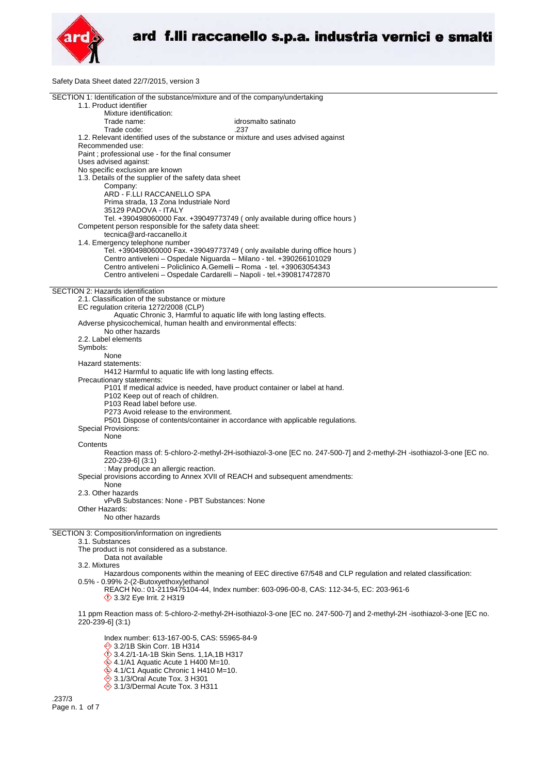

Safety Data Sheet dated 22/7/2015, version 3

|                                                                            | SECTION 1: Identification of the substance/mixture and of the company/undertaking                                          |
|----------------------------------------------------------------------------|----------------------------------------------------------------------------------------------------------------------------|
| 1.1. Product identifier<br>Mixture identification:                         |                                                                                                                            |
| Trade name:                                                                | idrosmalto satinato                                                                                                        |
| Trade code:                                                                | .237                                                                                                                       |
|                                                                            | 1.2. Relevant identified uses of the substance or mixture and uses advised against                                         |
| Recommended use:                                                           |                                                                                                                            |
| Paint ; professional use - for the final consumer<br>Uses advised against: |                                                                                                                            |
| No specific exclusion are known                                            |                                                                                                                            |
| 1.3. Details of the supplier of the safety data sheet                      |                                                                                                                            |
| Company:                                                                   |                                                                                                                            |
| ARD - F.LLI RACCANELLO SPA<br>Prima strada, 13 Zona Industriale Nord       |                                                                                                                            |
| 35129 PADOVA - ITALY                                                       |                                                                                                                            |
|                                                                            | Tel. +390498060000 Fax. +39049773749 (only available during office hours)                                                  |
| Competent person responsible for the safety data sheet:                    |                                                                                                                            |
| tecnica@ard-raccanello.it                                                  |                                                                                                                            |
| 1.4. Emergency telephone number                                            | Tel. +390498060000 Fax. +39049773749 (only available during office hours)                                                  |
|                                                                            | Centro antiveleni - Ospedale Niguarda - Milano - tel. +390266101029                                                        |
|                                                                            | Centro antiveleni - Policlinico A.Gemelli - Roma - tel. +39063054343                                                       |
|                                                                            | Centro antiveleni - Ospedale Cardarelli - Napoli - tel.+390817472870                                                       |
| SECTION 2: Hazards identification                                          |                                                                                                                            |
| 2.1. Classification of the substance or mixture                            |                                                                                                                            |
| EC regulation criteria 1272/2008 (CLP)                                     |                                                                                                                            |
|                                                                            | Aquatic Chronic 3, Harmful to aquatic life with long lasting effects.                                                      |
|                                                                            | Adverse physicochemical, human health and environmental effects:                                                           |
| No other hazards<br>2.2. Label elements                                    |                                                                                                                            |
| Symbols:                                                                   |                                                                                                                            |
| None                                                                       |                                                                                                                            |
| Hazard statements:                                                         |                                                                                                                            |
|                                                                            | H412 Harmful to aquatic life with long lasting effects.                                                                    |
| Precautionary statements:                                                  | P101 If medical advice is needed, have product container or label at hand.                                                 |
| P102 Keep out of reach of children.                                        |                                                                                                                            |
| P <sub>103</sub> Read label before use.                                    |                                                                                                                            |
| P273 Avoid release to the environment.                                     |                                                                                                                            |
| Special Provisions:                                                        | P501 Dispose of contents/container in accordance with applicable regulations.                                              |
| None                                                                       |                                                                                                                            |
| Contents                                                                   |                                                                                                                            |
|                                                                            | Reaction mass of: 5-chloro-2-methyl-2H-isothiazol-3-one [EC no. 247-500-7] and 2-methyl-2H -isothiazol-3-one [EC no.       |
| 220-239-6] (3:1)                                                           |                                                                                                                            |
| : May produce an allergic reaction.                                        | Special provisions according to Annex XVII of REACH and subsequent amendments:                                             |
| None                                                                       |                                                                                                                            |
| 2.3. Other hazards                                                         |                                                                                                                            |
|                                                                            | vPvB Substances: None - PBT Substances: None                                                                               |
| Other Hazards:<br>No other hazards                                         |                                                                                                                            |
|                                                                            |                                                                                                                            |
| SECTION 3: Composition/information on ingredients                          |                                                                                                                            |
| 3.1. Substances                                                            |                                                                                                                            |
| The product is not considered as a substance.<br>Data not available        |                                                                                                                            |
| 3.2. Mixtures                                                              |                                                                                                                            |
|                                                                            | Hazardous components within the meaning of EEC directive 67/548 and CLP regulation and related classification:             |
| 0.5% - 0.99% 2-(2-Butoxyethoxy)ethanol                                     |                                                                                                                            |
| <b>12 3.3/2 Eye Irrit. 2 H319</b>                                          | REACH No.: 01-2119475104-44, Index number: 603-096-00-8, CAS: 112-34-5, EC: 203-961-6                                      |
|                                                                            |                                                                                                                            |
|                                                                            | 11 ppm Reaction mass of: 5-chloro-2-methyl-2H-isothiazol-3-one [EC no. 247-500-7] and 2-methyl-2H-isothiazol-3-one [EC no. |
| 220-239-6] (3:1)                                                           |                                                                                                                            |
|                                                                            |                                                                                                                            |
|                                                                            | Index number: 613-167-00-5, CAS: 55965-84-9                                                                                |

3.2/1B Skin Corr. 1B H314

3.4.2/1-1A-1B Skin Sens. 1,1A,1B H317

4.1/A1 Aquatic Acute 1 H400 M=10.

4.1/C1 Aquatic Chronic 1 H410 M=10.

- 3.1/3/Oral Acute Tox. 3 H301
- 3.1/3/Dermal Acute Tox. 3 H311

.237/3 Page n. 1 of 7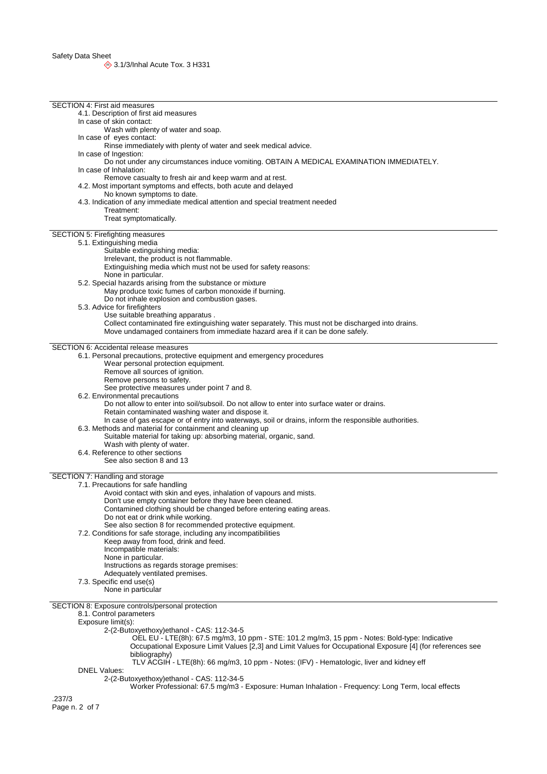| <b>SECTION 4: First aid measures</b>                                                                                                                                                 |  |
|--------------------------------------------------------------------------------------------------------------------------------------------------------------------------------------|--|
| 4.1. Description of first aid measures                                                                                                                                               |  |
| In case of skin contact:                                                                                                                                                             |  |
| Wash with plenty of water and soap.                                                                                                                                                  |  |
| In case of eyes contact:                                                                                                                                                             |  |
| Rinse immediately with plenty of water and seek medical advice.                                                                                                                      |  |
| In case of Ingestion:                                                                                                                                                                |  |
| Do not under any circumstances induce vomiting. OBTAIN A MEDICAL EXAMINATION IMMEDIATELY.                                                                                            |  |
| In case of Inhalation:                                                                                                                                                               |  |
| Remove casualty to fresh air and keep warm and at rest.                                                                                                                              |  |
| 4.2. Most important symptoms and effects, both acute and delayed                                                                                                                     |  |
| No known symptoms to date.                                                                                                                                                           |  |
| 4.3. Indication of any immediate medical attention and special treatment needed                                                                                                      |  |
| Treatment:                                                                                                                                                                           |  |
| Treat symptomatically.                                                                                                                                                               |  |
|                                                                                                                                                                                      |  |
| SECTION 5: Firefighting measures                                                                                                                                                     |  |
| 5.1. Extinguishing media                                                                                                                                                             |  |
| Suitable extinguishing media:                                                                                                                                                        |  |
| Irrelevant, the product is not flammable.                                                                                                                                            |  |
| Extinguishing media which must not be used for safety reasons:                                                                                                                       |  |
| None in particular.                                                                                                                                                                  |  |
| 5.2. Special hazards arising from the substance or mixture                                                                                                                           |  |
| May produce toxic fumes of carbon monoxide if burning.                                                                                                                               |  |
| Do not inhale explosion and combustion gases.                                                                                                                                        |  |
| 5.3. Advice for firefighters<br>Use suitable breathing apparatus.                                                                                                                    |  |
|                                                                                                                                                                                      |  |
| Collect contaminated fire extinguishing water separately. This must not be discharged into drains.<br>Move undamaged containers from immediate hazard area if it can be done safely. |  |
|                                                                                                                                                                                      |  |
| <b>SECTION 6: Accidental release measures</b>                                                                                                                                        |  |
| 6.1. Personal precautions, protective equipment and emergency procedures                                                                                                             |  |
| Wear personal protection equipment.                                                                                                                                                  |  |
| Remove all sources of ignition.                                                                                                                                                      |  |
| Remove persons to safety.                                                                                                                                                            |  |
| See protective measures under point 7 and 8.                                                                                                                                         |  |
| 6.2. Environmental precautions                                                                                                                                                       |  |
| Do not allow to enter into soil/subsoil. Do not allow to enter into surface water or drains.                                                                                         |  |
| Retain contaminated washing water and dispose it.                                                                                                                                    |  |
| In case of gas escape or of entry into waterways, soil or drains, inform the responsible authorities.                                                                                |  |
| 6.3. Methods and material for containment and cleaning up                                                                                                                            |  |
| Suitable material for taking up: absorbing material, organic, sand.                                                                                                                  |  |
| Wash with plenty of water.                                                                                                                                                           |  |
| 6.4. Reference to other sections                                                                                                                                                     |  |
| See also section 8 and 13                                                                                                                                                            |  |
|                                                                                                                                                                                      |  |
| SECTION 7: Handling and storage                                                                                                                                                      |  |
| 7.1. Precautions for safe handling                                                                                                                                                   |  |
| Avoid contact with skin and eyes, inhalation of vapours and mists.                                                                                                                   |  |
| Don't use empty container before they have been cleaned.                                                                                                                             |  |
| Contamined clothing should be changed before entering eating areas.                                                                                                                  |  |
| Do not eat or drink while working.                                                                                                                                                   |  |
| See also section 8 for recommended protective equipment.                                                                                                                             |  |
| 7.2. Conditions for safe storage, including any incompatibilities<br>Keep away from food, drink and feed.                                                                            |  |
| Incompatible materials:                                                                                                                                                              |  |
| None in particular.                                                                                                                                                                  |  |
| Instructions as regards storage premises:                                                                                                                                            |  |
| Adequately ventilated premises.                                                                                                                                                      |  |
| 7.3. Specific end use(s)                                                                                                                                                             |  |
| None in particular                                                                                                                                                                   |  |
|                                                                                                                                                                                      |  |
| SECTION 8: Exposure controls/personal protection                                                                                                                                     |  |
| 8.1. Control parameters                                                                                                                                                              |  |
| Exposure limit(s):                                                                                                                                                                   |  |
| 2-(2-Butoxyethoxy)ethanol - CAS: 112-34-5                                                                                                                                            |  |
| OEL EU - LTE(8h): 67.5 mg/m3, 10 ppm - STE: 101.2 mg/m3, 15 ppm - Notes: Bold-type: Indicative                                                                                       |  |
| Occupational Exposure Limit Values [2,3] and Limit Values for Occupational Exposure [4] (for references see                                                                          |  |
| bibliography)                                                                                                                                                                        |  |
| TLV ACGIH - LTE(8h): 66 mg/m3, 10 ppm - Notes: (IFV) - Hematologic, liver and kidney eff                                                                                             |  |
| DNEL Values:                                                                                                                                                                         |  |
| 2-(2-Butoxyethoxy)ethanol - CAS: 112-34-5                                                                                                                                            |  |
| Worker Professional: 67.5 mg/m3 - Exposure: Human Inhalation - Frequency: Long Term, local effects                                                                                   |  |
| .237/3                                                                                                                                                                               |  |
| Page n. 2 of 7                                                                                                                                                                       |  |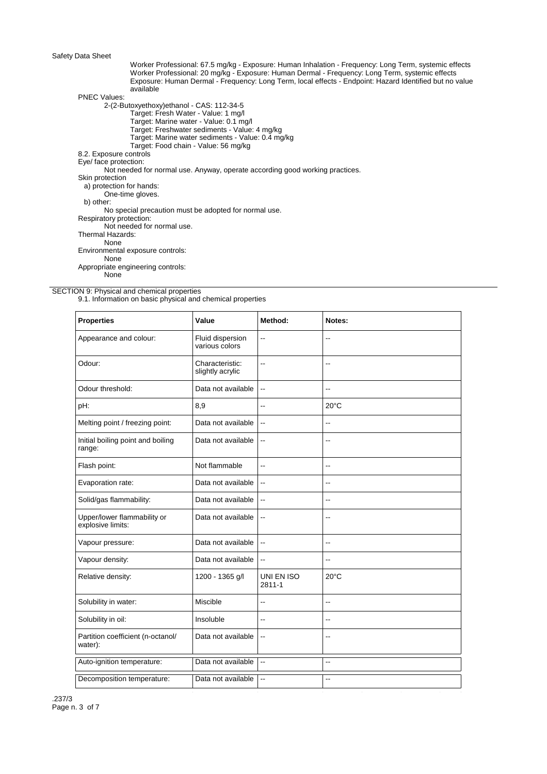## Safety Data Sheet

Worker Professional: 67.5 mg/kg - Exposure: Human Inhalation - Frequency: Long Term, systemic effects Worker Professional: 20 mg/kg - Exposure: Human Dermal - Frequency: Long Term, systemic effects Exposure: Human Dermal - Frequency: Long Term, local effects - Endpoint: Hazard Identified but no value available

PNEC Values:

2-(2-Butoxyethoxy)ethanol - CAS: 112-34-5

- Target: Fresh Water Value: 1 mg/l
- Target: Marine water Value: 0.1 mg/l
- Target: Freshwater sediments Value: 4 mg/kg Target: Marine water sediments - Value: 0.4 mg/kg
- Target: Food chain Value: 56 mg/kg
- 8.2. Exposure controls

Eye/ face protection:

Not needed for normal use. Anyway, operate according good working practices.

Skin protection a) protection for hands:

One-time gloves. b) other:

No special precaution must be adopted for normal use.

Respiratory protection:

Not needed for normal use.

Thermal Hazards:

None

Environmental exposure controls: None

Appropriate engineering controls:

None

SECTION 9: Physical and chemical properties

9.1. Information on basic physical and chemical properties

| <b>Properties</b>                                | Value                               | Method:                  | Notes:                   |
|--------------------------------------------------|-------------------------------------|--------------------------|--------------------------|
| Appearance and colour:                           | Fluid dispersion<br>various colors  | ۵.                       |                          |
| Odour:                                           | Characteristic:<br>slightly acrylic | --                       | $\overline{\phantom{a}}$ |
| Odour threshold:                                 | Data not available                  | цü                       | $\overline{\phantom{a}}$ |
| pH:                                              | 8,9                                 | --                       | $20^{\circ}$ C           |
| Melting point / freezing point:                  | Data not available                  | Щ,                       | $\overline{a}$           |
| Initial boiling point and boiling<br>range:      | Data not available                  | --                       | $\overline{a}$           |
| Flash point:                                     | Not flammable                       | --                       | $\overline{\phantom{a}}$ |
| Evaporation rate:                                | Data not available                  | Щ,                       | $\overline{\phantom{a}}$ |
| Solid/gas flammability:                          | Data not available                  | --                       | $\overline{a}$           |
| Upper/lower flammability or<br>explosive limits: | Data not available                  | --                       | $\overline{a}$           |
| Vapour pressure:                                 | Data not available                  | --                       | $\overline{\phantom{a}}$ |
| Vapour density:                                  | Data not available                  | Ξ.                       |                          |
| Relative density:                                | 1200 - 1365 g/l                     | UNI EN ISO<br>2811-1     | $20^{\circ}$ C           |
| Solubility in water:                             | Miscible                            | --                       | $-$                      |
| Solubility in oil:                               | Insoluble                           | ÷-                       | $\overline{a}$           |
| Partition coefficient (n-octanol/<br>water):     | Data not available                  | --                       | $\overline{a}$           |
| Auto-ignition temperature:                       | Data not available                  | $\sim$                   | $\ddot{\phantom{a}}$     |
| Decomposition temperature:                       | Data not available                  | $\overline{\phantom{a}}$ | $\overline{a}$           |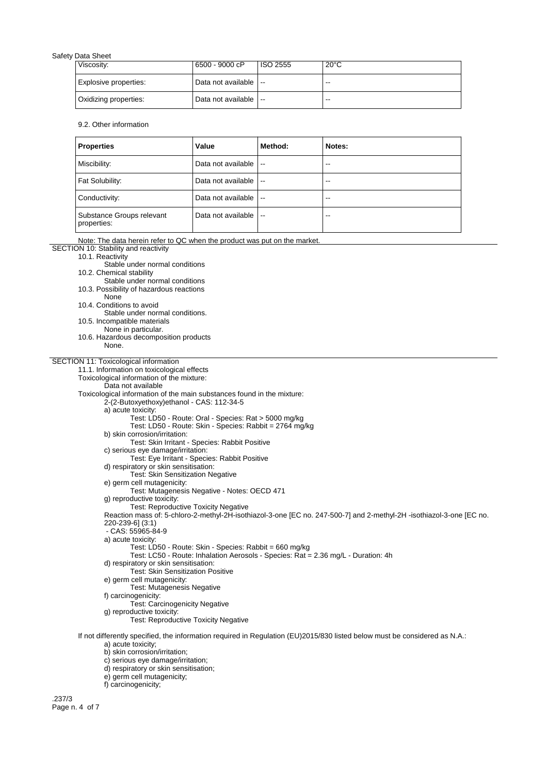## Safety Data Sheet

|  | Viscosity:            | 6500 - 9000 cP           | ISO 2555 | $20^{\circ}$ C |
|--|-----------------------|--------------------------|----------|----------------|
|  | Explosive properties: | Data not available $  -$ |          | --             |
|  | Oxidizing properties: | Data not available   --  |          | --             |

## 9.2. Other information

| <b>Properties</b>                        | Value              | Method: | Notes:                   |
|------------------------------------------|--------------------|---------|--------------------------|
| Miscibility:                             | Data not available | $\sim$  | $\overline{\phantom{a}}$ |
| Fat Solubility:                          | Data not available | $\sim$  | --                       |
| Conductivity:                            | Data not available | .       | --                       |
| Substance Groups relevant<br>properties: | Data not available | $\sim$  | --                       |

Note: The data herein refer to QC when the product was put on the market.

SECTION 10: Stability and reactivity 10.1. Reactivity

Stable under normal conditions

10.2. Chemical stability

Stable under normal conditions

10.3. Possibility of hazardous reactions

None

10.4. Conditions to avoid

Stable under normal conditions.

10.5. Incompatible materials

None in particular.

10.6. Hazardous decomposition products None.

## SECTION 11: Toxicological information

11.1. Information on toxicological effects

Toxicological information of the mixture:

Data not available

Toxicological information of the main substances found in the mixture:

2-(2-Butoxyethoxy)ethanol - CAS: 112-34-5

a) acute toxicity:

Test: LD50 - Route: Oral - Species: Rat > 5000 mg/kg

- Test: LD50 Route: Skin Species: Rabbit = 2764 mg/kg
- b) skin corrosion/irritation: Test: Skin Irritant - Species: Rabbit Positive
- c) serious eye damage/irritation:

Test: Eye Irritant - Species: Rabbit Positive

d) respiratory or skin sensitisation:

- Test: Skin Sensitization Negative e) germ cell mutagenicity:
- Test: Mutagenesis Negative Notes: OECD 471
- g) reproductive toxicity:
- Test: Reproductive Toxicity Negative

Reaction mass of: 5-chloro-2-methyl-2H-isothiazol-3-one [EC no. 247-500-7] and 2-methyl-2H -isothiazol-3-one [EC no. 220-239-6] (3:1)

- CAS: 55965-84-9
- a) acute toxicity:

Test: LD50 - Route: Skin - Species: Rabbit = 660 mg/kg

- Test: LC50 Route: Inhalation Aerosols Species: Rat = 2.36 mg/L Duration: 4h
- d) respiratory or skin sensitisation: Test: Skin Sensitization Positive

e) germ cell mutagenicity:

- Test: Mutagenesis Negative
- f) carcinogenicity:
	- Test: Carcinogenicity Negative
- g) reproductive toxicity:
	- Test: Reproductive Toxicity Negative
- If not differently specified, the information required in Regulation (EU)2015/830 listed below must be considered as N.A.: a) acute toxicity;

b) skin corrosion/irritation;

- c) serious eye damage/irritation;
- d) respiratory or skin sensitisation;
- e) germ cell mutagenicity;
- f) carcinogenicity;

.237/3 Page n. 4 of 7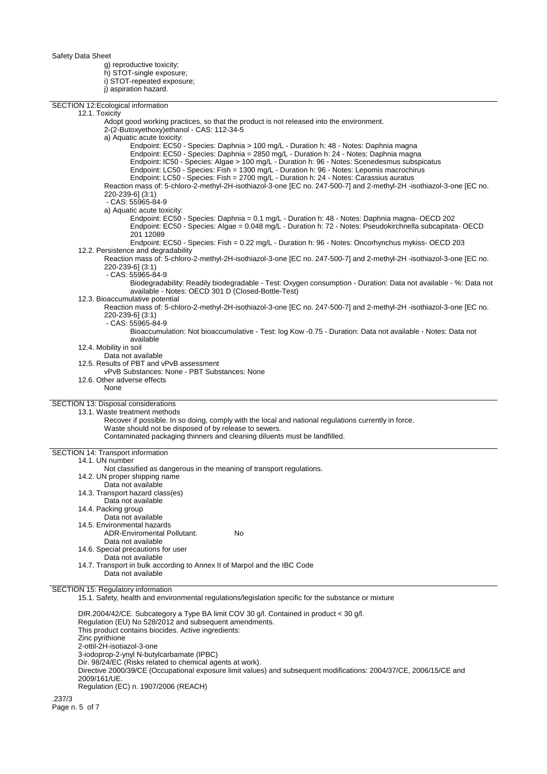Safety Data Sheet

g) reproductive toxicity; h) STOT-single exposure; i) STOT-repeated exposure; j) aspiration hazard.

SECTION 12:Ecological information 12.1. Toxicity Adopt good working practices, so that the product is not released into the environment. 2-(2-Butoxyethoxy)ethanol - CAS: 112-34-5 a) Aquatic acute toxicity: Endpoint: EC50 - Species: Daphnia > 100 mg/L - Duration h: 48 - Notes: Daphnia magna Endpoint: EC50 - Species: Daphnia = 2850 mg/L - Duration h: 24 - Notes: Daphnia magna Endpoint: IC50 - Species: Algae > 100 mg/L - Duration h: 96 - Notes: Scenedesmus subspicatus Endpoint: LC50 - Species: Fish = 1300 mg/L - Duration h: 96 - Notes: Lepomis macrochirus Endpoint: LC50 - Species: Fish = 2700 mg/L - Duration h: 24 - Notes: Carassius auratus Reaction mass of: 5-chloro-2-methyl-2H-isothiazol-3-one [EC no. 247-500-7] and 2-methyl-2H -isothiazol-3-one [EC no. 220-239-6] (3:1) - CAS: 55965-84-9 a) Aquatic acute toxicity: Endpoint: EC50 - Species: Daphnia = 0.1 mg/L - Duration h: 48 - Notes: Daphnia magna- OECD 202 Endpoint: EC50 - Species: Algae = 0.048 mg/L - Duration h: 72 - Notes: Pseudokirchnella subcapitata- OECD 201 12089 Endpoint: EC50 - Species: Fish = 0.22 mg/L - Duration h: 96 - Notes: Oncorhynchus mykiss- OECD 203 12.2. Persistence and degradability Reaction mass of: 5-chloro-2-methyl-2H-isothiazol-3-one [EC no. 247-500-7] and 2-methyl-2H -isothiazol-3-one [EC no. 220-239-6] (3:1) - CAS: 55965-84-9 Biodegradability: Readily biodegradable - Test: Oxygen consumption - Duration: Data not available - %: Data not available - Notes: OECD 301 D (Closed-Bottle-Test) 12.3. Bioaccumulative potential Reaction mass of: 5-chloro-2-methyl-2H-isothiazol-3-one [EC no. 247-500-7] and 2-methyl-2H -isothiazol-3-one [EC no. 220-239-6] (3:1) - CAS: 55965-84-9 Bioaccumulation: Not bioaccumulative - Test: log Kow -0.75 - Duration: Data not available - Notes: Data not available 12.4. Mobility in soil Data not available 12.5. Results of PBT and vPvB assessment vPvB Substances: None - PBT Substances: None 12.6. Other adverse effects None SECTION 13: Disposal considerations 13.1. Waste treatment methods Recover if possible. In so doing, comply with the local and national regulations currently in force. Waste should not be disposed of by release to sewers. Contaminated packaging thinners and cleaning diluents must be landfilled. SECTION 14: Transport information 14.1. UN number Not classified as dangerous in the meaning of transport regulations. 14.2. UN proper shipping name Data not available 14.3. Transport hazard class(es) Data not available 14.4. Packing group Data not available 14.5. Environmental hazards ADR-Enviromental Pollutant: No Data not available 14.6. Special precautions for user Data not available 14.7. Transport in bulk according to Annex II of Marpol and the IBC Code Data not available SECTION 15: Regulatory information 15.1. Safety, health and environmental regulations/legislation specific for the substance or mixture DIR.2004/42/CE. Subcategory a Type BA limit COV 30 g/l. Contained in product < 30 g/l. Regulation (EU) No 528/2012 and subsequent amendments. This product contains biocides. Active ingredients: Zinc pyrithione 2-ottil-2H-isotiazol-3-one 3-iodoprop-2-ynyl N-butylcarbamate (IPBC) Dir. 98/24/EC (Risks related to chemical agents at work). Directive 2000/39/CE (Occupational exposure limit values) and subsequent modifications: 2004/37/CE, 2006/15/CE and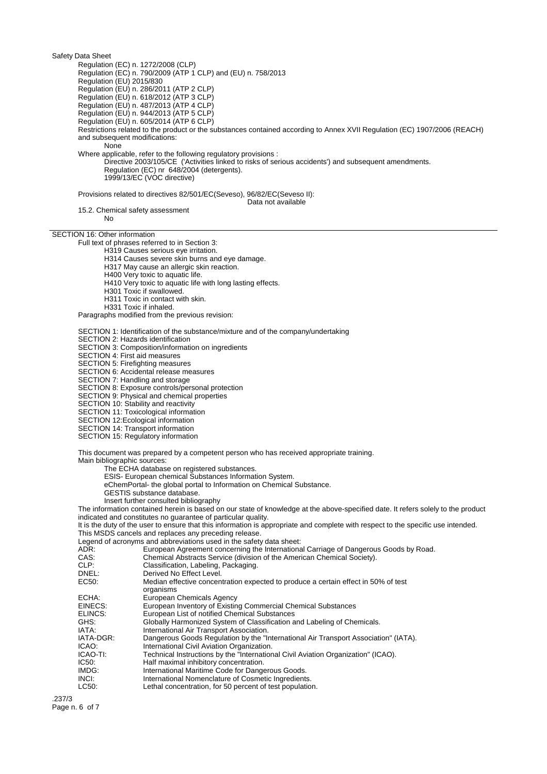Regulation (EC) n. 1272/2008 (CLP) Regulation (EC) n. 790/2009 (ATP 1 CLP) and (EU) n. 758/2013 Regulation (EU) 2015/830 Regulation (EU) n. 286/2011 (ATP 2 CLP) Regulation (EU) n. 618/2012 (ATP 3 CLP) Regulation (EU) n. 487/2013 (ATP 4 CLP) Regulation (EU) n. 944/2013 (ATP 5 CLP) Regulation (EU) n. 605/2014 (ATP 6 CLP) Restrictions related to the product or the substances contained according to Annex XVII Regulation (EC) 1907/2006 (REACH) and subsequent modifications: None Where applicable, refer to the following regulatory provisions : Directive 2003/105/CE ('Activities linked to risks of serious accidents') and subsequent amendments. Regulation (EC) nr 648/2004 (detergents). 1999/13/EC (VOC directive) Provisions related to directives 82/501/EC(Seveso), 96/82/EC(Seveso II): Data not available 15.2. Chemical safety assessment No SECTION 16: Other information Full text of phrases referred to in Section 3: H319 Causes serious eye irritation. H314 Causes severe skin burns and eye damage. H317 May cause an allergic skin reaction. H400 Very toxic to aquatic life. H410 Very toxic to aquatic life with long lasting effects. H301 Toxic if swallowed. H311 Toxic in contact with skin. H331 Toxic if inhaled. Paragraphs modified from the previous revision: SECTION 1: Identification of the substance/mixture and of the company/undertaking SECTION 2: Hazards identification SECTION 3: Composition/information on ingredients SECTION 4: First aid measures SECTION 5: Firefighting measures SECTION 6: Accidental release measures SECTION 7: Handling and storage SECTION 8: Exposure controls/personal protection SECTION 9: Physical and chemical properties SECTION 10: Stability and reactivity SECTION 11: Toxicological information SECTION 12:Ecological information SECTION 14: Transport information SECTION 15: Regulatory information This document was prepared by a competent person who has received appropriate training. Main bibliographic sources: The ECHA database on registered substances. ESIS- European chemical Substances Information System. eChemPortal- the global portal to Information on Chemical Substance. GESTIS substance database. Insert further consulted bibliography The information contained herein is based on our state of knowledge at the above-specified date. It refers solely to the product indicated and constitutes no guarantee of particular quality. It is the duty of the user to ensure that this information is appropriate and complete with respect to the specific use intended. This MSDS cancels and replaces any preceding release. Legend of acronyms and abbreviations used in the safety data sheet:<br>ADR: European Agreement concerning the Internationa ADR: European Agreement concerning the International Carriage of Dangerous Goods by Road.<br>CAS: Chemical Abstracts Service (division of the American Chemical Society). CAS: Chemical Abstracts Service (division of the American Chemical Society).<br>CLP: Classification, Labeling, Packaging. CLP: Classification, Labeling, Packaging.<br>
DREL: Derived No Effect Level. Derived No Effect Level. EC50: Median effective concentration expected to produce a certain effect in 50% of test organisms ECHA: European Chemicals Agency<br>EINECS: European Inventory of Existin European Inventory of Existing Commercial Chemical Substances ELINCS: European List of notified Chemical Substances<br>GHS: Globally Harmonized System of Classification a GHS: Globally Harmonized System of Classification and Labeling of Chemicals.<br>
IATA: laternational Air Transport Association. IATA: International Air Transport Association.<br>IATA-DGR: Dangerous Goods Regulation by the "Ir Dangerous Goods Regulation by the "International Air Transport Association" (IATA). ICAO: International Civil Aviation Organization.<br>ICAO-TI: Technical Instructions by the "Internation" ICAO-TI: Technical Instructions by the "International Civil Aviation Organization" (ICAO).<br>IC50: Thalf maximal inhibitory concentration. IC50: Half maximal inhibitory concentration.<br>IMDG: International Maritime Code for Dange IMDG: International Maritime Code for Dangerous Goods.<br>INCI: International Nomenclature of Cosmetic Ingredient INCI: International Nomenclature of Cosmetic Ingredients.<br>
LC50: Lethal concentration, for 50 percent of test population Lethal concentration, for 50 percent of test population. .237/3 Page n. 6 of 7

Safety Data Sheet